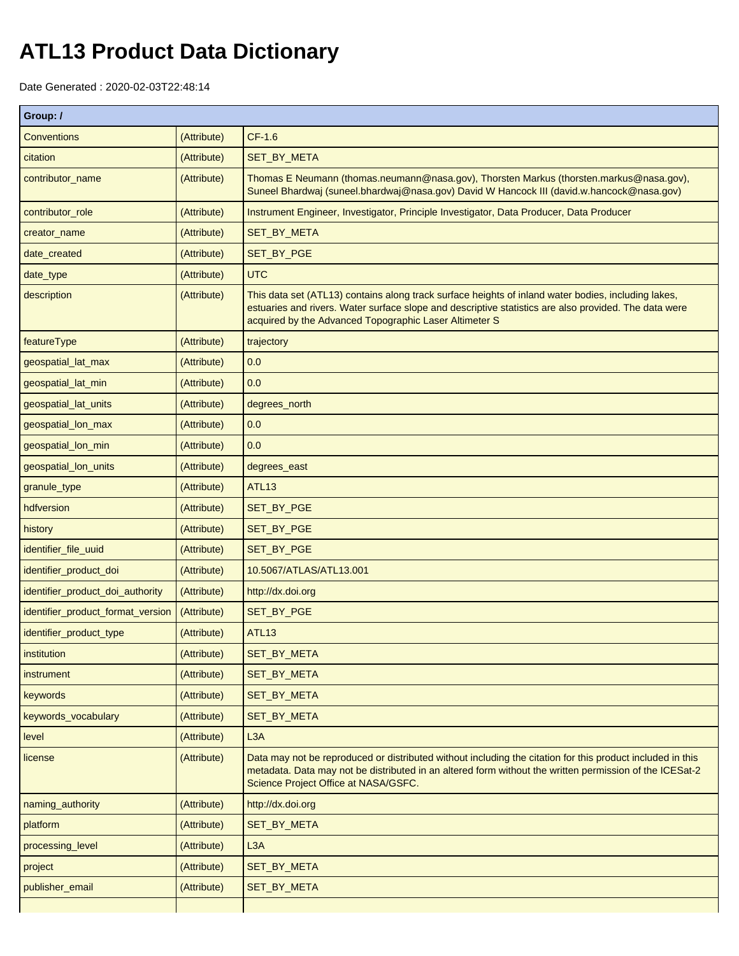## **ATL13 Product Data Dictionary**

Date Generated : 2020-02-03T22:48:14

| Group: /                          |             |                                                                                                                                                                                                                                                                        |  |  |  |
|-----------------------------------|-------------|------------------------------------------------------------------------------------------------------------------------------------------------------------------------------------------------------------------------------------------------------------------------|--|--|--|
| <b>Conventions</b>                | (Attribute) | $CF-1.6$                                                                                                                                                                                                                                                               |  |  |  |
| citation                          | (Attribute) | SET_BY_META                                                                                                                                                                                                                                                            |  |  |  |
| contributor_name                  | (Attribute) | Thomas E Neumann (thomas.neumann@nasa.gov), Thorsten Markus (thorsten.markus@nasa.gov),<br>Suneel Bhardwaj (suneel.bhardwaj@nasa.gov) David W Hancock III (david.w.hancock@nasa.gov)                                                                                   |  |  |  |
| contributor_role                  | (Attribute) | Instrument Engineer, Investigator, Principle Investigator, Data Producer, Data Producer                                                                                                                                                                                |  |  |  |
| creator_name                      | (Attribute) | SET_BY_META                                                                                                                                                                                                                                                            |  |  |  |
| date_created                      | (Attribute) | SET_BY_PGE                                                                                                                                                                                                                                                             |  |  |  |
| date_type                         | (Attribute) | <b>UTC</b>                                                                                                                                                                                                                                                             |  |  |  |
| description                       | (Attribute) | This data set (ATL13) contains along track surface heights of inland water bodies, including lakes,<br>estuaries and rivers. Water surface slope and descriptive statistics are also provided. The data were<br>acquired by the Advanced Topographic Laser Altimeter S |  |  |  |
| featureType                       | (Attribute) | trajectory                                                                                                                                                                                                                                                             |  |  |  |
| geospatial_lat_max                | (Attribute) | 0.0                                                                                                                                                                                                                                                                    |  |  |  |
| geospatial_lat_min                | (Attribute) | 0.0                                                                                                                                                                                                                                                                    |  |  |  |
| geospatial_lat_units              | (Attribute) | degrees_north                                                                                                                                                                                                                                                          |  |  |  |
| geospatial_lon_max                | (Attribute) | 0.0                                                                                                                                                                                                                                                                    |  |  |  |
| geospatial_lon_min                | (Attribute) | 0.0                                                                                                                                                                                                                                                                    |  |  |  |
| geospatial_lon_units              | (Attribute) | degrees_east                                                                                                                                                                                                                                                           |  |  |  |
| granule_type                      | (Attribute) | <b>ATL13</b>                                                                                                                                                                                                                                                           |  |  |  |
| hdfversion                        | (Attribute) | SET_BY_PGE                                                                                                                                                                                                                                                             |  |  |  |
| history                           | (Attribute) | SET_BY_PGE                                                                                                                                                                                                                                                             |  |  |  |
| identifier_file_uuid              | (Attribute) | SET_BY_PGE                                                                                                                                                                                                                                                             |  |  |  |
| identifier_product_doi            | (Attribute) | 10.5067/ATLAS/ATL13.001                                                                                                                                                                                                                                                |  |  |  |
| identifier_product_doi_authority  | (Attribute) | http://dx.doi.org                                                                                                                                                                                                                                                      |  |  |  |
| identifier_product_format_version | (Attribute) | SET_BY_PGE                                                                                                                                                                                                                                                             |  |  |  |
| identifier_product_type           | (Attribute) | <b>ATL13</b>                                                                                                                                                                                                                                                           |  |  |  |
| institution                       | (Attribute) | SET_BY_META                                                                                                                                                                                                                                                            |  |  |  |
| instrument                        | (Attribute) | SET_BY_META                                                                                                                                                                                                                                                            |  |  |  |
| keywords                          | (Attribute) | <b>SET BY META</b>                                                                                                                                                                                                                                                     |  |  |  |
| keywords_vocabulary               | (Attribute) | SET_BY_META                                                                                                                                                                                                                                                            |  |  |  |
| level                             | (Attribute) | L <sub>3</sub> A                                                                                                                                                                                                                                                       |  |  |  |
| license                           | (Attribute) | Data may not be reproduced or distributed without including the citation for this product included in this<br>metadata. Data may not be distributed in an altered form without the written permission of the ICESat-2<br>Science Project Office at NASA/GSFC.          |  |  |  |
| naming_authority                  | (Attribute) | http://dx.doi.org                                                                                                                                                                                                                                                      |  |  |  |
| platform                          | (Attribute) | SET_BY_META                                                                                                                                                                                                                                                            |  |  |  |
| processing_level                  | (Attribute) | L3A                                                                                                                                                                                                                                                                    |  |  |  |
| project                           | (Attribute) | SET_BY_META                                                                                                                                                                                                                                                            |  |  |  |
| publisher_email                   | (Attribute) | SET_BY_META                                                                                                                                                                                                                                                            |  |  |  |
|                                   |             |                                                                                                                                                                                                                                                                        |  |  |  |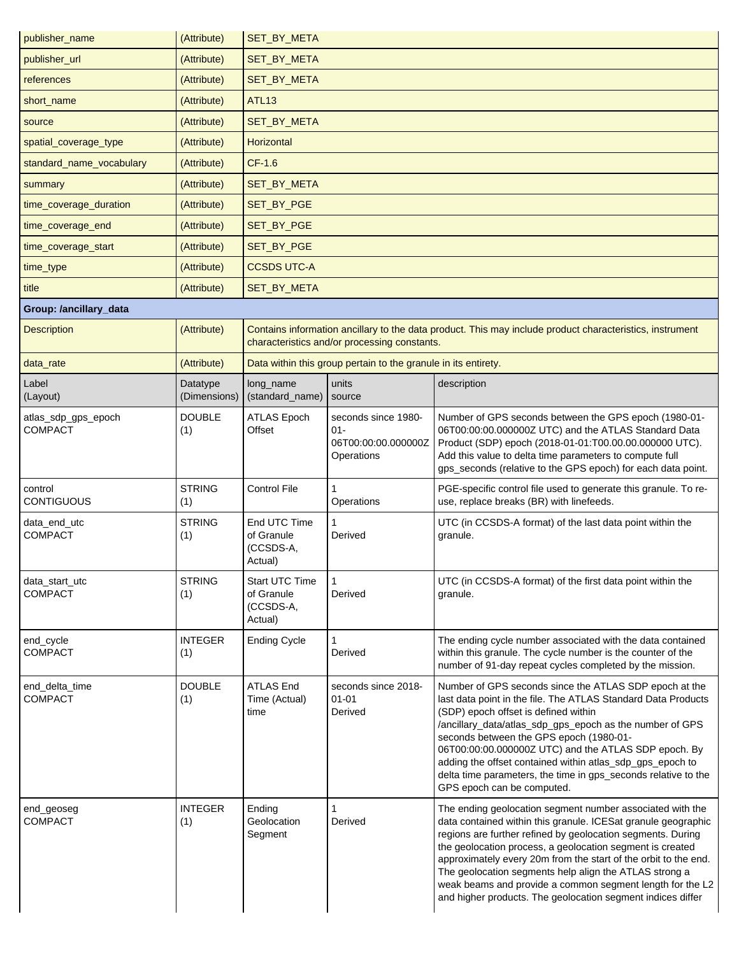| publisher_name                        | (Attribute)              | <b>SET BY META</b>                                   |                                                                    |                                                                                                                                                                                                                                                                                                                                                                                                                                                                                                                 |  |  |  |
|---------------------------------------|--------------------------|------------------------------------------------------|--------------------------------------------------------------------|-----------------------------------------------------------------------------------------------------------------------------------------------------------------------------------------------------------------------------------------------------------------------------------------------------------------------------------------------------------------------------------------------------------------------------------------------------------------------------------------------------------------|--|--|--|
| publisher_url                         | (Attribute)              | SET_BY_META                                          |                                                                    |                                                                                                                                                                                                                                                                                                                                                                                                                                                                                                                 |  |  |  |
| references                            | (Attribute)              | SET_BY_META                                          |                                                                    |                                                                                                                                                                                                                                                                                                                                                                                                                                                                                                                 |  |  |  |
| short_name                            | (Attribute)              | <b>ATL13</b>                                         |                                                                    |                                                                                                                                                                                                                                                                                                                                                                                                                                                                                                                 |  |  |  |
| source                                | (Attribute)              | <b>SET_BY_META</b>                                   |                                                                    |                                                                                                                                                                                                                                                                                                                                                                                                                                                                                                                 |  |  |  |
| spatial_coverage_type                 | (Attribute)              | Horizontal                                           |                                                                    |                                                                                                                                                                                                                                                                                                                                                                                                                                                                                                                 |  |  |  |
| standard_name_vocabulary              | (Attribute)              | CF-1.6                                               |                                                                    |                                                                                                                                                                                                                                                                                                                                                                                                                                                                                                                 |  |  |  |
| summary                               | (Attribute)              | SET_BY_META                                          |                                                                    |                                                                                                                                                                                                                                                                                                                                                                                                                                                                                                                 |  |  |  |
| time_coverage_duration                | (Attribute)              | SET_BY_PGE                                           |                                                                    |                                                                                                                                                                                                                                                                                                                                                                                                                                                                                                                 |  |  |  |
| time_coverage_end                     | (Attribute)              | SET_BY_PGE                                           |                                                                    |                                                                                                                                                                                                                                                                                                                                                                                                                                                                                                                 |  |  |  |
| time_coverage_start                   | (Attribute)              | SET_BY_PGE                                           |                                                                    |                                                                                                                                                                                                                                                                                                                                                                                                                                                                                                                 |  |  |  |
| time_type                             | (Attribute)              | <b>CCSDS UTC-A</b>                                   |                                                                    |                                                                                                                                                                                                                                                                                                                                                                                                                                                                                                                 |  |  |  |
| title                                 | (Attribute)              | SET_BY_META                                          |                                                                    |                                                                                                                                                                                                                                                                                                                                                                                                                                                                                                                 |  |  |  |
| Group: /ancillary_data                |                          |                                                      |                                                                    |                                                                                                                                                                                                                                                                                                                                                                                                                                                                                                                 |  |  |  |
| <b>Description</b>                    | (Attribute)              |                                                      | characteristics and/or processing constants.                       | Contains information ancillary to the data product. This may include product characteristics, instrument                                                                                                                                                                                                                                                                                                                                                                                                        |  |  |  |
| data_rate                             | (Attribute)              |                                                      | Data within this group pertain to the granule in its entirety.     |                                                                                                                                                                                                                                                                                                                                                                                                                                                                                                                 |  |  |  |
| Label<br>(Layout)                     | Datatype<br>(Dimensions) | long_name<br>(standard_name)                         | units<br>source                                                    | description                                                                                                                                                                                                                                                                                                                                                                                                                                                                                                     |  |  |  |
| atlas_sdp_gps_epoch<br><b>COMPACT</b> | <b>DOUBLE</b><br>(1)     | <b>ATLAS Epoch</b><br>Offset                         | seconds since 1980-<br>$01 -$<br>06T00:00:00.000000Z<br>Operations | Number of GPS seconds between the GPS epoch (1980-01-<br>06T00:00:00.000000Z UTC) and the ATLAS Standard Data<br>Product (SDP) epoch (2018-01-01:T00.00.00.000000 UTC).<br>Add this value to delta time parameters to compute full<br>gps_seconds (relative to the GPS epoch) for each data point.                                                                                                                                                                                                              |  |  |  |
| control<br><b>CONTIGUOUS</b>          | <b>STRING</b><br>(1)     | Control File                                         | 1<br>Operations                                                    | PGE-specific control file used to generate this granule. To re-<br>use, replace breaks (BR) with linefeeds.                                                                                                                                                                                                                                                                                                                                                                                                     |  |  |  |
| data_end_utc<br><b>COMPACT</b>        | <b>STRING</b><br>(1)     | End UTC Time<br>of Granule<br>(CCSDS-A,<br>Actual)   | 1<br>Derived                                                       | UTC (in CCSDS-A format) of the last data point within the<br>granule.                                                                                                                                                                                                                                                                                                                                                                                                                                           |  |  |  |
| data_start_utc<br><b>COMPACT</b>      | <b>STRING</b><br>(1)     | Start UTC Time<br>of Granule<br>(CCSDS-A,<br>Actual) | 1<br>Derived                                                       | UTC (in CCSDS-A format) of the first data point within the<br>granule.                                                                                                                                                                                                                                                                                                                                                                                                                                          |  |  |  |
| end_cycle<br><b>COMPACT</b>           | <b>INTEGER</b><br>(1)    | <b>Ending Cycle</b>                                  | $\mathbf{1}$<br>Derived                                            | The ending cycle number associated with the data contained<br>within this granule. The cycle number is the counter of the<br>number of 91-day repeat cycles completed by the mission.                                                                                                                                                                                                                                                                                                                           |  |  |  |
| end_delta_time<br><b>COMPACT</b>      | <b>DOUBLE</b><br>(1)     | <b>ATLAS End</b><br>Time (Actual)<br>time            | seconds since 2018-<br>$01 - 01$<br>Derived                        | Number of GPS seconds since the ATLAS SDP epoch at the<br>last data point in the file. The ATLAS Standard Data Products<br>(SDP) epoch offset is defined within<br>/ancillary_data/atlas_sdp_gps_epoch as the number of GPS<br>seconds between the GPS epoch (1980-01-<br>06T00:00:00.000000Z UTC) and the ATLAS SDP epoch. By<br>adding the offset contained within atlas_sdp_gps_epoch to<br>delta time parameters, the time in gps_seconds relative to the<br>GPS epoch can be computed.                     |  |  |  |
| end_geoseg<br><b>COMPACT</b>          | <b>INTEGER</b><br>(1)    | Ending<br>Geolocation<br>Segment                     | 1<br>Derived                                                       | The ending geolocation segment number associated with the<br>data contained within this granule. ICESat granule geographic<br>regions are further refined by geolocation segments. During<br>the geolocation process, a geolocation segment is created<br>approximately every 20m from the start of the orbit to the end.<br>The geolocation segments help align the ATLAS strong a<br>weak beams and provide a common segment length for the L2<br>and higher products. The geolocation segment indices differ |  |  |  |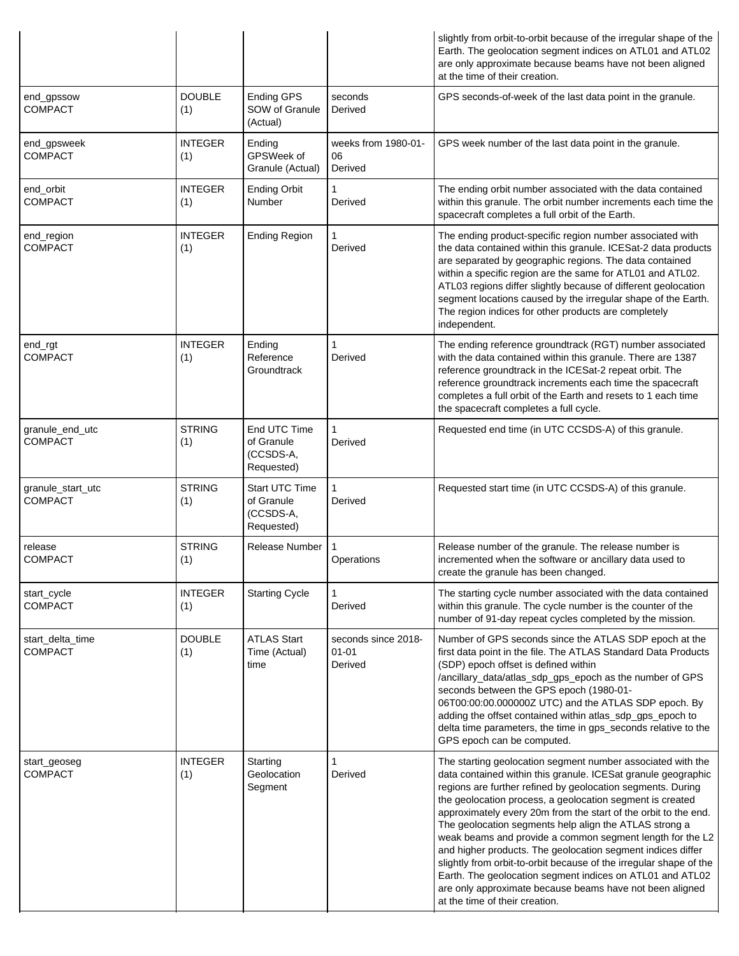|                                     |                       |                                                         |                                             | slightly from orbit-to-orbit because of the irregular shape of the<br>Earth. The geolocation segment indices on ATL01 and ATL02<br>are only approximate because beams have not been aligned<br>at the time of their creation.                                                                                                                                                                                                                                                                                                                                                                                                                                                                                                                      |
|-------------------------------------|-----------------------|---------------------------------------------------------|---------------------------------------------|----------------------------------------------------------------------------------------------------------------------------------------------------------------------------------------------------------------------------------------------------------------------------------------------------------------------------------------------------------------------------------------------------------------------------------------------------------------------------------------------------------------------------------------------------------------------------------------------------------------------------------------------------------------------------------------------------------------------------------------------------|
| end_gpssow<br><b>COMPACT</b>        | <b>DOUBLE</b><br>(1)  | Ending GPS<br>SOW of Granule<br>(Actual)                | seconds<br>Derived                          | GPS seconds-of-week of the last data point in the granule.                                                                                                                                                                                                                                                                                                                                                                                                                                                                                                                                                                                                                                                                                         |
| end_gpsweek<br><b>COMPACT</b>       | INTEGER<br>(1)        | Ending<br>GPSWeek of<br>Granule (Actual)                | weeks from 1980-01-<br>06<br>Derived        | GPS week number of the last data point in the granule.                                                                                                                                                                                                                                                                                                                                                                                                                                                                                                                                                                                                                                                                                             |
| end_orbit<br><b>COMPACT</b>         | <b>INTEGER</b><br>(1) | <b>Ending Orbit</b><br>Number                           | Derived                                     | The ending orbit number associated with the data contained<br>within this granule. The orbit number increments each time the<br>spacecraft completes a full orbit of the Earth.                                                                                                                                                                                                                                                                                                                                                                                                                                                                                                                                                                    |
| end_region<br><b>COMPACT</b>        | <b>INTEGER</b><br>(1) | <b>Ending Region</b>                                    | Derived                                     | The ending product-specific region number associated with<br>the data contained within this granule. ICESat-2 data products<br>are separated by geographic regions. The data contained<br>within a specific region are the same for ATL01 and ATL02.<br>ATL03 regions differ slightly because of different geolocation<br>segment locations caused by the irregular shape of the Earth.<br>The region indices for other products are completely<br>independent.                                                                                                                                                                                                                                                                                    |
| end_rgt<br><b>COMPACT</b>           | <b>INTEGER</b><br>(1) | Ending<br>Reference<br>Groundtrack                      | Derived                                     | The ending reference groundtrack (RGT) number associated<br>with the data contained within this granule. There are 1387<br>reference groundtrack in the ICESat-2 repeat orbit. The<br>reference groundtrack increments each time the spacecraft<br>completes a full orbit of the Earth and resets to 1 each time<br>the spacecraft completes a full cycle.                                                                                                                                                                                                                                                                                                                                                                                         |
| granule_end_utc<br><b>COMPACT</b>   | <b>STRING</b><br>(1)  | End UTC Time<br>of Granule<br>(CCSDS-A,<br>Requested)   | Derived                                     | Requested end time (in UTC CCSDS-A) of this granule.                                                                                                                                                                                                                                                                                                                                                                                                                                                                                                                                                                                                                                                                                               |
| granule_start_utc<br><b>COMPACT</b> | <b>STRING</b><br>(1)  | Start UTC Time<br>of Granule<br>(CCSDS-A,<br>Requested) | Derived                                     | Requested start time (in UTC CCSDS-A) of this granule.                                                                                                                                                                                                                                                                                                                                                                                                                                                                                                                                                                                                                                                                                             |
| release<br><b>COMPACT</b>           | <b>STRING</b><br>(1)  | Release Number                                          | Operations                                  | Release number of the granule. The release number is<br>incremented when the software or ancillary data used to<br>create the granule has been changed.                                                                                                                                                                                                                                                                                                                                                                                                                                                                                                                                                                                            |
| start_cycle<br><b>COMPACT</b>       | <b>INTEGER</b><br>(1) | <b>Starting Cycle</b>                                   | Derived                                     | The starting cycle number associated with the data contained<br>within this granule. The cycle number is the counter of the<br>number of 91-day repeat cycles completed by the mission.                                                                                                                                                                                                                                                                                                                                                                                                                                                                                                                                                            |
| start_delta_time<br><b>COMPACT</b>  | <b>DOUBLE</b><br>(1)  | <b>ATLAS Start</b><br>Time (Actual)<br>time             | seconds since 2018-<br>$01 - 01$<br>Derived | Number of GPS seconds since the ATLAS SDP epoch at the<br>first data point in the file. The ATLAS Standard Data Products<br>(SDP) epoch offset is defined within<br>/ancillary_data/atlas_sdp_gps_epoch as the number of GPS<br>seconds between the GPS epoch (1980-01-<br>06T00:00:00.000000Z UTC) and the ATLAS SDP epoch. By<br>adding the offset contained within atlas_sdp_gps_epoch to<br>delta time parameters, the time in gps_seconds relative to the<br>GPS epoch can be computed.                                                                                                                                                                                                                                                       |
| start_geoseg<br><b>COMPACT</b>      | <b>INTEGER</b><br>(1) | Starting<br>Geolocation<br>Segment                      | Derived                                     | The starting geolocation segment number associated with the<br>data contained within this granule. ICESat granule geographic<br>regions are further refined by geolocation segments. During<br>the geolocation process, a geolocation segment is created<br>approximately every 20m from the start of the orbit to the end.<br>The geolocation segments help align the ATLAS strong a<br>weak beams and provide a common segment length for the L2<br>and higher products. The geolocation segment indices differ<br>slightly from orbit-to-orbit because of the irregular shape of the<br>Earth. The geolocation segment indices on ATL01 and ATL02<br>are only approximate because beams have not been aligned<br>at the time of their creation. |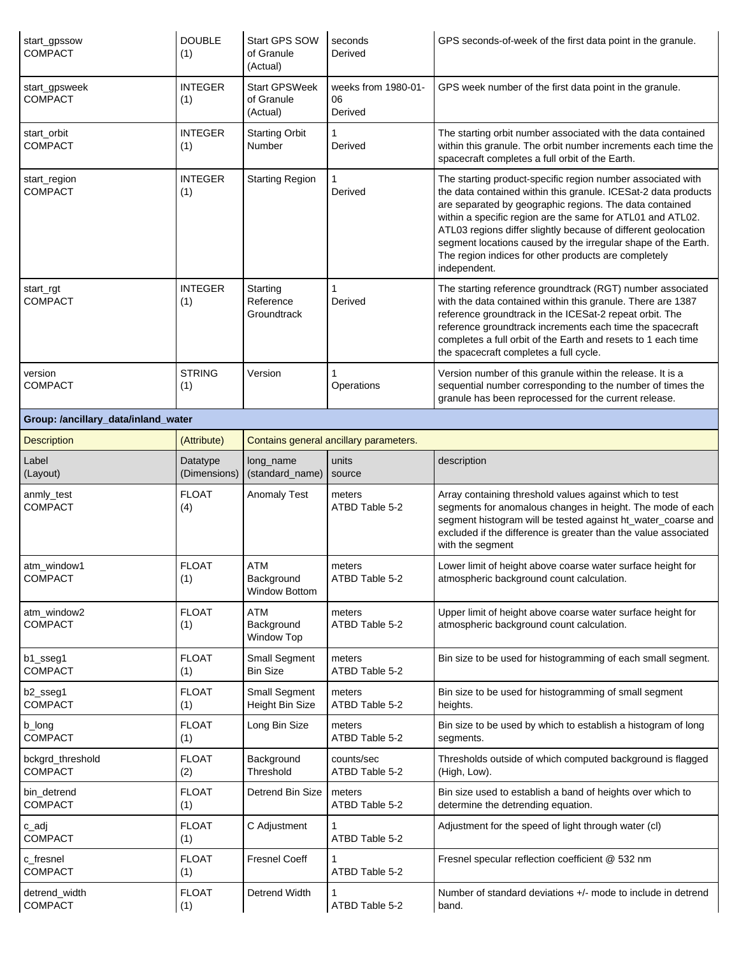| start gpssow<br>COMPACT                                       | DOUBLE<br>(1)         | Start GPS SOW<br>of Granule<br>(Actual)          | seconds<br>Derived                     | GPS seconds-of-week of the first data point in the granule.                                                                                                                                                                                                                                                                                                                                                                                                       |  |  |
|---------------------------------------------------------------|-----------------------|--------------------------------------------------|----------------------------------------|-------------------------------------------------------------------------------------------------------------------------------------------------------------------------------------------------------------------------------------------------------------------------------------------------------------------------------------------------------------------------------------------------------------------------------------------------------------------|--|--|
| start_gpsweek<br><b>COMPACT</b>                               | <b>INTEGER</b><br>(1) | <b>Start GPSWeek</b><br>of Granule<br>(Actual)   | weeks from 1980-01-<br>06<br>Derived   | GPS week number of the first data point in the granule.                                                                                                                                                                                                                                                                                                                                                                                                           |  |  |
| start_orbit<br><b>COMPACT</b>                                 | <b>INTEGER</b><br>(1) | <b>Starting Orbit</b><br><b>Number</b>           | 1<br>Derived                           | The starting orbit number associated with the data contained<br>within this granule. The orbit number increments each time the<br>spacecraft completes a full orbit of the Earth.                                                                                                                                                                                                                                                                                 |  |  |
| start_region<br><b>COMPACT</b>                                | <b>INTEGER</b><br>(1) | <b>Starting Region</b>                           | Derived                                | The starting product-specific region number associated with<br>the data contained within this granule. ICESat-2 data products<br>are separated by geographic regions. The data contained<br>within a specific region are the same for ATL01 and ATL02.<br>ATL03 regions differ slightly because of different geolocation<br>segment locations caused by the irregular shape of the Earth.<br>The region indices for other products are completely<br>independent. |  |  |
| start_rgt<br><b>COMPACT</b>                                   | <b>INTEGER</b><br>(1) | Starting<br>Reference<br>Groundtrack             | Derived                                | The starting reference groundtrack (RGT) number associated<br>with the data contained within this granule. There are 1387<br>reference groundtrack in the ICESat-2 repeat orbit. The<br>reference groundtrack increments each time the spacecraft<br>completes a full orbit of the Earth and resets to 1 each time<br>the spacecraft completes a full cycle.                                                                                                      |  |  |
| version<br><b>COMPACT</b>                                     | <b>STRING</b><br>(1)  | Version                                          | 1<br>Operations                        | Version number of this granule within the release. It is a<br>sequential number corresponding to the number of times the<br>granule has been reprocessed for the current release.                                                                                                                                                                                                                                                                                 |  |  |
| Group: /ancillary_data/inland_water                           |                       |                                                  |                                        |                                                                                                                                                                                                                                                                                                                                                                                                                                                                   |  |  |
| <b>Description</b>                                            | (Attribute)           |                                                  | Contains general ancillary parameters. |                                                                                                                                                                                                                                                                                                                                                                                                                                                                   |  |  |
| Label                                                         | Datatype              | long_name                                        | units                                  | description                                                                                                                                                                                                                                                                                                                                                                                                                                                       |  |  |
| (Layout)                                                      | (Dimensions)          | (standard_name)                                  | source                                 |                                                                                                                                                                                                                                                                                                                                                                                                                                                                   |  |  |
| anmly_test<br><b>COMPACT</b>                                  | <b>FLOAT</b><br>(4)   | <b>Anomaly Test</b>                              | meters<br>ATBD Table 5-2               | Array containing threshold values against which to test<br>segments for anomalous changes in height. The mode of each<br>segment histogram will be tested against ht_water_coarse and<br>excluded if the difference is greater than the value associated<br>with the segment                                                                                                                                                                                      |  |  |
| atm_window1<br><b>COMPACT</b>                                 | <b>FLOAT</b><br>(1)   | <b>ATM</b><br>Background<br><b>Window Bottom</b> | meters<br>ATBD Table 5-2               | Lower limit of height above coarse water surface height for<br>atmospheric background count calculation.                                                                                                                                                                                                                                                                                                                                                          |  |  |
| atm_window2<br><b>COMPACT</b>                                 | <b>FLOAT</b><br>(1)   | <b>ATM</b><br>Background<br>Window Top           | meters<br>ATBD Table 5-2               | Upper limit of height above coarse water surface height for<br>atmospheric background count calculation.                                                                                                                                                                                                                                                                                                                                                          |  |  |
| <b>COMPACT</b>                                                | <b>FLOAT</b><br>(1)   | <b>Small Segment</b><br><b>Bin Size</b>          | meters<br>ATBD Table 5-2               | Bin size to be used for histogramming of each small segment.                                                                                                                                                                                                                                                                                                                                                                                                      |  |  |
| b2_sseg1<br>COMPACT                                           | <b>FLOAT</b><br>(1)   | <b>Small Segment</b><br>Height Bin Size          | meters<br>ATBD Table 5-2               | Bin size to be used for histogramming of small segment<br>heights.                                                                                                                                                                                                                                                                                                                                                                                                |  |  |
| b_long<br><b>COMPACT</b>                                      | <b>FLOAT</b><br>(1)   | Long Bin Size                                    | meters<br>ATBD Table 5-2               | Bin size to be used by which to establish a histogram of long<br>segments.                                                                                                                                                                                                                                                                                                                                                                                        |  |  |
| COMPACT                                                       | <b>FLOAT</b><br>(2)   | Background<br>Threshold                          | counts/sec<br>ATBD Table 5-2           | Thresholds outside of which computed background is flagged<br>(High, Low).                                                                                                                                                                                                                                                                                                                                                                                        |  |  |
| b1_sseg1<br>bckgrd_threshold<br>bin_detrend<br><b>COMPACT</b> | <b>FLOAT</b><br>(1)   | Detrend Bin Size                                 | meters<br>ATBD Table 5-2               | Bin size used to establish a band of heights over which to<br>determine the detrending equation.                                                                                                                                                                                                                                                                                                                                                                  |  |  |
| c_adj<br><b>COMPACT</b>                                       | <b>FLOAT</b><br>(1)   | C Adjustment                                     | 1<br>ATBD Table 5-2                    | Adjustment for the speed of light through water (cl)                                                                                                                                                                                                                                                                                                                                                                                                              |  |  |
| c_fresnel<br><b>COMPACT</b>                                   | <b>FLOAT</b><br>(1)   | <b>Fresnel Coeff</b>                             | ATBD Table 5-2                         | Fresnel specular reflection coefficient @ 532 nm                                                                                                                                                                                                                                                                                                                                                                                                                  |  |  |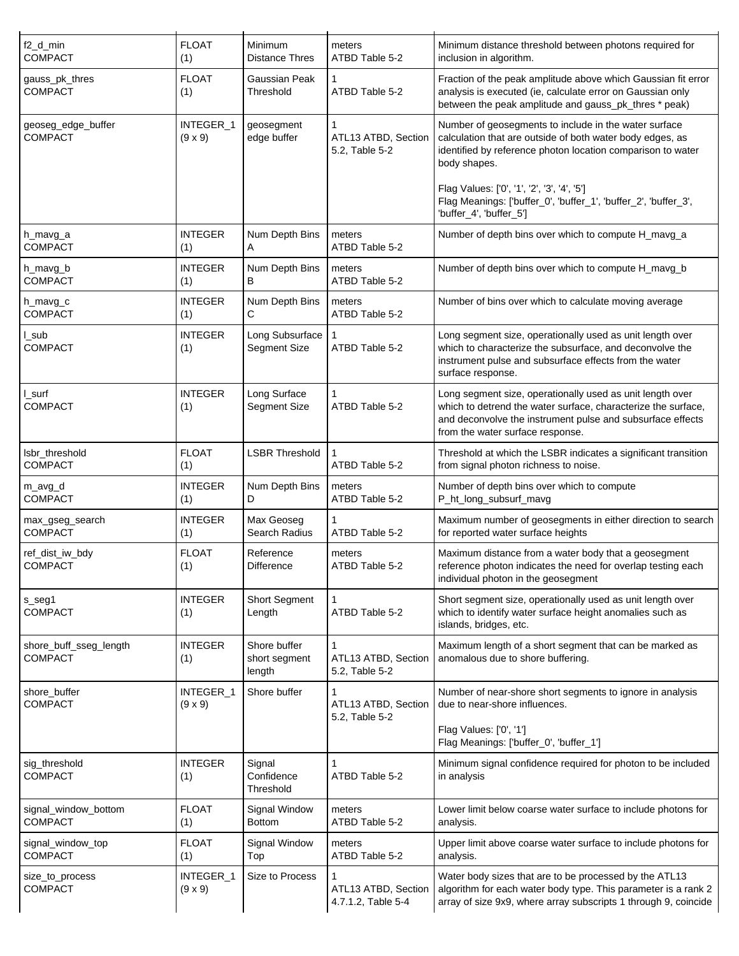| f2_d_min<br><b>COMPACT</b>               | <b>FLOAT</b><br>(1)         | Minimum<br><b>Distance Thres</b>        | meters<br>ATBD Table 5-2                  | Minimum distance threshold between photons required for<br>inclusion in algorithm.                                                                                                                                           |
|------------------------------------------|-----------------------------|-----------------------------------------|-------------------------------------------|------------------------------------------------------------------------------------------------------------------------------------------------------------------------------------------------------------------------------|
| gauss_pk_thres<br><b>COMPACT</b>         | <b>FLOAT</b><br>(1)         | Gaussian Peak<br>Threshold              | 1<br>ATBD Table 5-2                       | Fraction of the peak amplitude above which Gaussian fit error<br>analysis is executed (ie, calculate error on Gaussian only<br>between the peak amplitude and gauss_pk_thres * peak)                                         |
| geoseg_edge_buffer<br><b>COMPACT</b>     | INTEGER_1<br>$(9 \times 9)$ | geosegment<br>edge buffer               | ATL13 ATBD, Section<br>5.2, Table 5-2     | Number of geosegments to include in the water surface<br>calculation that are outside of both water body edges, as<br>identified by reference photon location comparison to water<br>body shapes.                            |
|                                          |                             |                                         |                                           | Flag Values: ['0', '1', '2', '3', '4', '5']<br>Flag Meanings: ['buffer_0', 'buffer_1', 'buffer_2', 'buffer_3',<br>'buffer_4', 'buffer_5']                                                                                    |
| h_mavg_a<br><b>COMPACT</b>               | <b>INTEGER</b><br>(1)       | Num Depth Bins<br>A                     | meters<br>ATBD Table 5-2                  | Number of depth bins over which to compute H_mavg_a                                                                                                                                                                          |
| h_mavg_b<br><b>COMPACT</b>               | <b>INTEGER</b><br>(1)       | Num Depth Bins<br>B                     | meters<br>ATBD Table 5-2                  | Number of depth bins over which to compute H_mavg_b                                                                                                                                                                          |
| h_mavg_c<br><b>COMPACT</b>               | <b>INTEGER</b><br>(1)       | Num Depth Bins<br>С                     | meters<br>ATBD Table 5-2                  | Number of bins over which to calculate moving average                                                                                                                                                                        |
| sub_<br><b>COMPACT</b>                   | <b>INTEGER</b><br>(1)       | Long Subsurface<br>Segment Size         | ATBD Table 5-2                            | Long segment size, operationally used as unit length over<br>which to characterize the subsurface, and deconvolve the<br>instrument pulse and subsurface effects from the water<br>surface response.                         |
| I_surf<br><b>COMPACT</b>                 | <b>INTEGER</b><br>(1)       | Long Surface<br>Segment Size            | ATBD Table 5-2                            | Long segment size, operationally used as unit length over<br>which to detrend the water surface, characterize the surface,<br>and deconvolve the instrument pulse and subsurface effects<br>from the water surface response. |
| Isbr_threshold<br><b>COMPACT</b>         | <b>FLOAT</b><br>(1)         | <b>LSBR Threshold</b>                   | ATBD Table 5-2                            | Threshold at which the LSBR indicates a significant transition<br>from signal photon richness to noise.                                                                                                                      |
| m_avg_d<br><b>COMPACT</b>                | <b>INTEGER</b><br>(1)       | Num Depth Bins<br>D                     | meters<br>ATBD Table 5-2                  | Number of depth bins over which to compute<br>P_ht_long_subsurf_mavg                                                                                                                                                         |
| max_gseg_search<br><b>COMPACT</b>        | <b>INTEGER</b><br>(1)       | Max Geoseg<br>Search Radius             | ATBD Table 5-2                            | Maximum number of geosegments in either direction to search<br>for reported water surface heights                                                                                                                            |
| ref_dist_iw_bdy<br><b>COMPACT</b>        | <b>FLOAT</b><br>(1)         | Reference<br><b>Difference</b>          | meters<br>ATBD Table 5-2                  | Maximum distance from a water body that a geosegment<br>reference photon indicates the need for overlap testing each<br>individual photon in the geosegment                                                                  |
| s_seg1<br><b>COMPACT</b>                 | <b>INTEGER</b><br>(1)       | Short Segment<br>Length                 | 1<br>ATBD Table 5-2                       | Short segment size, operationally used as unit length over<br>which to identify water surface height anomalies such as<br>islands, bridges, etc.                                                                             |
| shore_buff_sseg_length<br><b>COMPACT</b> | <b>INTEGER</b><br>(1)       | Shore buffer<br>short segment<br>length | ATL13 ATBD, Section<br>5.2, Table 5-2     | Maximum length of a short segment that can be marked as<br>anomalous due to shore buffering.                                                                                                                                 |
| shore_buffer<br><b>COMPACT</b>           | INTEGER_1<br>$(9 \times 9)$ | Shore buffer                            | ATL13 ATBD, Section                       | Number of near-shore short segments to ignore in analysis<br>due to near-shore influences.                                                                                                                                   |
|                                          |                             |                                         | 5.2, Table 5-2                            | Flag Values: ['0', '1']<br>Flag Meanings: ['buffer_0', 'buffer_1']                                                                                                                                                           |
| sig_threshold<br><b>COMPACT</b>          | <b>INTEGER</b><br>(1)       | Signal<br>Confidence<br>Threshold       | ATBD Table 5-2                            | Minimum signal confidence required for photon to be included<br>in analysis                                                                                                                                                  |
| signal_window_bottom<br><b>COMPACT</b>   | <b>FLOAT</b><br>(1)         | Signal Window<br><b>Bottom</b>          | meters<br>ATBD Table 5-2                  | Lower limit below coarse water surface to include photons for<br>analysis.                                                                                                                                                   |
| signal_window_top<br>COMPACT             | <b>FLOAT</b><br>(1)         | Signal Window<br>Top                    | meters<br>ATBD Table 5-2                  | Upper limit above coarse water surface to include photons for<br>analysis.                                                                                                                                                   |
| size_to_process<br><b>COMPACT</b>        | INTEGER_1<br>$(9 \times 9)$ | Size to Process                         | ATL13 ATBD, Section<br>4.7.1.2, Table 5-4 | Water body sizes that are to be processed by the ATL13<br>algorithm for each water body type. This parameter is a rank 2<br>array of size 9x9, where array subscripts 1 through 9, coincide                                  |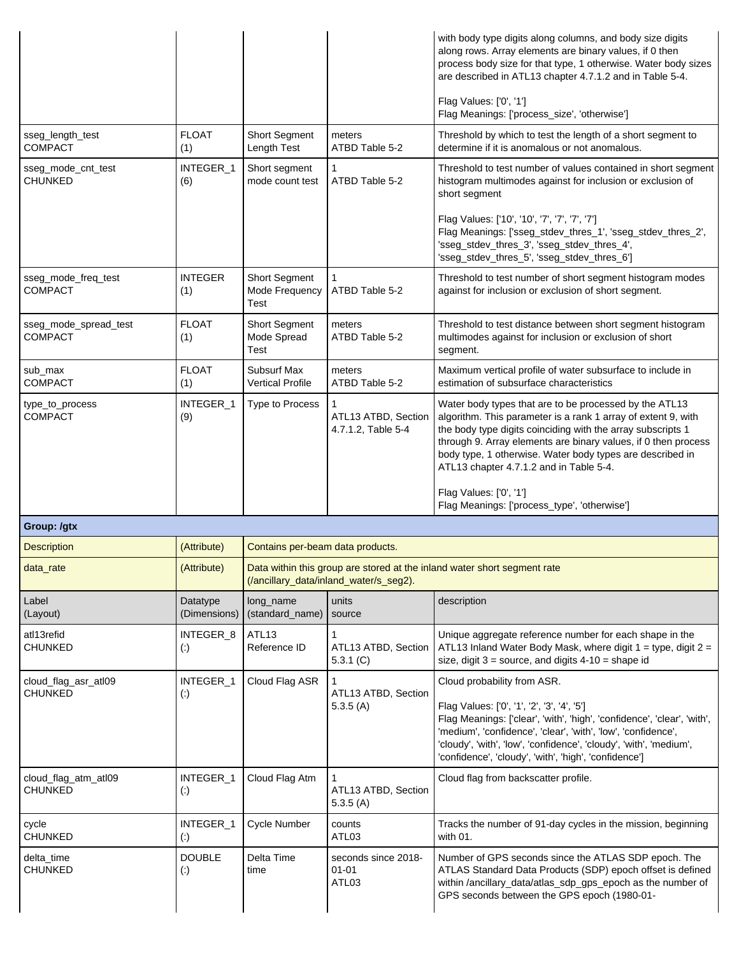|                                        |                                         |                                                |                                                | with body type digits along columns, and body size digits<br>along rows. Array elements are binary values, if 0 then<br>process body size for that type, 1 otherwise. Water body sizes<br>are described in ATL13 chapter 4.7.1.2 and in Table 5-4.<br>Flag Values: ['0', '1']                                                                                    |
|----------------------------------------|-----------------------------------------|------------------------------------------------|------------------------------------------------|------------------------------------------------------------------------------------------------------------------------------------------------------------------------------------------------------------------------------------------------------------------------------------------------------------------------------------------------------------------|
|                                        |                                         |                                                |                                                | Flag Meanings: ['process_size', 'otherwise']                                                                                                                                                                                                                                                                                                                     |
| sseg_length_test<br><b>COMPACT</b>     | <b>FLOAT</b><br>(1)                     | <b>Short Segment</b><br>Length Test            | meters<br>ATBD Table 5-2                       | Threshold by which to test the length of a short segment to<br>determine if it is anomalous or not anomalous.                                                                                                                                                                                                                                                    |
| sseg_mode_cnt_test<br>CHUNKED          | INTEGER_1<br>(6)                        | Short segment<br>mode count test               | 1<br>ATBD Table 5-2                            | Threshold to test number of values contained in short segment<br>histogram multimodes against for inclusion or exclusion of<br>short segment                                                                                                                                                                                                                     |
|                                        |                                         |                                                |                                                | Flag Values: ['10', '10', '7', '7', '7', '7']<br>Flag Meanings: ['sseg_stdev_thres_1', 'sseg_stdev_thres_2',<br>'sseg_stdev_thres_3', 'sseg_stdev_thres_4',<br>'sseg_stdev_thres_5', 'sseg_stdev_thres_6']                                                                                                                                                       |
| sseg_mode_freq_test<br><b>COMPACT</b>  | <b>INTEGER</b><br>(1)                   | <b>Short Segment</b><br>Mode Frequency<br>Test | 1<br>ATBD Table 5-2                            | Threshold to test number of short segment histogram modes<br>against for inclusion or exclusion of short segment.                                                                                                                                                                                                                                                |
| sseg_mode_spread_test<br>COMPACT       | <b>FLOAT</b><br>(1)                     | <b>Short Segment</b><br>Mode Spread<br>Test    | meters<br>ATBD Table 5-2                       | Threshold to test distance between short segment histogram<br>multimodes against for inclusion or exclusion of short<br>segment.                                                                                                                                                                                                                                 |
| sub_max<br><b>COMPACT</b>              | <b>FLOAT</b><br>(1)                     | Subsurf Max<br><b>Vertical Profile</b>         | meters<br>ATBD Table 5-2                       | Maximum vertical profile of water subsurface to include in<br>estimation of subsurface characteristics                                                                                                                                                                                                                                                           |
| type_to_process<br><b>COMPACT</b>      | INTEGER_1<br>(9)                        | Type to Process                                | 1<br>ATL13 ATBD, Section<br>4.7.1.2, Table 5-4 | Water body types that are to be processed by the ATL13<br>algorithm. This parameter is a rank 1 array of extent 9, with<br>the body type digits coinciding with the array subscripts 1<br>through 9. Array elements are binary values, if 0 then process<br>body type, 1 otherwise. Water body types are described in<br>ATL13 chapter 4.7.1.2 and in Table 5-4. |
|                                        |                                         |                                                |                                                | Flag Values: ['0', '1']<br>Flag Meanings: ['process_type', 'otherwise']                                                                                                                                                                                                                                                                                          |
| Group: /qtx                            |                                         |                                                |                                                |                                                                                                                                                                                                                                                                                                                                                                  |
| <b>Description</b>                     | (Attribute)                             | Contains per-beam data products.               |                                                |                                                                                                                                                                                                                                                                                                                                                                  |
| data_rate                              | (Attribute)                             |                                                | (/ancillary_data/inland_water/s_seg2).         | Data within this group are stored at the inland water short segment rate                                                                                                                                                                                                                                                                                         |
| Label<br>(Layout)                      | Datatype<br>(Dimensions)                | long_name<br>(standard_name)                   | units<br>source                                | description                                                                                                                                                                                                                                                                                                                                                      |
| atl13refid<br><b>CHUNKED</b>           | INTEGER_8<br>$\left( \cdot \right)$     | ATL13<br>Reference ID                          | 1<br>ATL13 ATBD, Section<br>5.3.1 $(C)$        | Unique aggregate reference number for each shape in the<br>ATL13 Inland Water Body Mask, where digit $1 =$ type, digit $2 =$<br>size, digit $3 =$ source, and digits $4-10 =$ shape id                                                                                                                                                                           |
| cloud_flag_asr_atl09<br><b>CHUNKED</b> | INTEGER_1<br>$\left( \cdot \right)$     | Cloud Flag ASR                                 | 1<br>ATL13 ATBD, Section                       | Cloud probability from ASR.                                                                                                                                                                                                                                                                                                                                      |
|                                        |                                         |                                                | 5.3.5(A)                                       | Flag Values: ['0', '1', '2', '3', '4', '5']<br>Flag Meanings: ['clear', 'with', 'high', 'confidence', 'clear', 'with',<br>'medium', 'confidence', 'clear', 'with', 'low', 'confidence',<br>'cloudy', 'with', 'low', 'confidence', 'cloudy', 'with', 'medium',<br>'confidence', 'cloudy', 'with', 'high', 'confidence']                                           |
| cloud_flag_atm_atl09<br><b>CHUNKED</b> | INTEGER_1<br>$\left( \cdot \right)$     | Cloud Flag Atm                                 | 1<br>ATL13 ATBD, Section<br>5.3.5(A)           | Cloud flag from backscatter profile.                                                                                                                                                                                                                                                                                                                             |
| cycle<br><b>CHUNKED</b>                | INTEGER_1<br>$\left( \cdot \right)$     | Cycle Number                                   | counts<br>ATL03                                | Tracks the number of 91-day cycles in the mission, beginning<br>with 01.                                                                                                                                                                                                                                                                                         |
| delta_time<br><b>CHUNKED</b>           | <b>DOUBLE</b><br>$\left( \cdot \right)$ | Delta Time<br>time                             | seconds since 2018-<br>01-01<br>ATL03          | Number of GPS seconds since the ATLAS SDP epoch. The<br>ATLAS Standard Data Products (SDP) epoch offset is defined<br>within /ancillary_data/atlas_sdp_gps_epoch as the number of<br>GPS seconds between the GPS epoch (1980-01-                                                                                                                                 |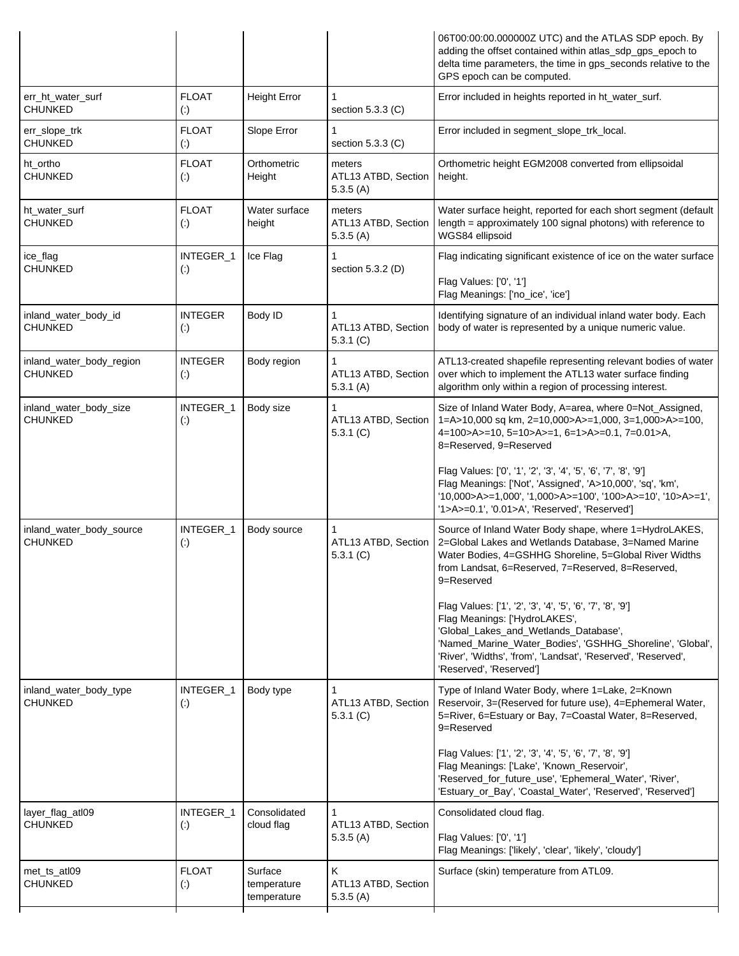|                                            |                                          |                                       |                                           | 06T00:00:00.0000002 UTC) and the ATLAS SDP epoch. By<br>adding the offset contained within atlas_sdp_gps_epoch to<br>delta time parameters, the time in gps_seconds relative to the<br>GPS epoch can be computed.                                                                             |
|--------------------------------------------|------------------------------------------|---------------------------------------|-------------------------------------------|-----------------------------------------------------------------------------------------------------------------------------------------------------------------------------------------------------------------------------------------------------------------------------------------------|
| err_ht_water_surf<br><b>CHUNKED</b>        | <b>FLOAT</b><br>$\left( \cdot \right)$   | <b>Height Error</b>                   | 1<br>section 5.3.3 (C)                    | Error included in heights reported in ht_water_surf.                                                                                                                                                                                                                                          |
| err_slope_trk<br><b>CHUNKED</b>            | <b>FLOAT</b><br>$\left( \cdot \right)$   | Slope Error                           | 1<br>section 5.3.3 (C)                    | Error included in segment_slope_trk_local.                                                                                                                                                                                                                                                    |
| ht_ortho<br><b>CHUNKED</b>                 | <b>FLOAT</b><br>$\left( \cdot \right)$   | Orthometric<br>Height                 | meters<br>ATL13 ATBD, Section<br>5.3.5(A) | Orthometric height EGM2008 converted from ellipsoidal<br>height.                                                                                                                                                                                                                              |
| ht_water_surf<br><b>CHUNKED</b>            | <b>FLOAT</b><br>$\left( \cdot \right)$   | Water surface<br>height               | meters<br>ATL13 ATBD, Section<br>5.3.5(A) | Water surface height, reported for each short segment (default<br>length = approximately 100 signal photons) with reference to<br>WGS84 ellipsoid                                                                                                                                             |
| ice_flag<br><b>CHUNKED</b>                 | INTEGER_1<br>$\left( \cdot \right)$      | Ice Flag                              | section 5.3.2 (D)                         | Flag indicating significant existence of ice on the water surface                                                                                                                                                                                                                             |
|                                            |                                          |                                       |                                           | Flag Values: ['0', '1']<br>Flag Meanings: ['no_ice', 'ice']                                                                                                                                                                                                                                   |
| inland_water_body_id<br><b>CHUNKED</b>     | <b>INTEGER</b><br>$\left( \cdot \right)$ | Body ID                               | ATL13 ATBD, Section<br>5.3.1(C)           | Identifying signature of an individual inland water body. Each<br>body of water is represented by a unique numeric value.                                                                                                                                                                     |
| inland_water_body_region<br><b>CHUNKED</b> | <b>INTEGER</b><br>$\left( \cdot \right)$ | Body region                           | 1<br>ATL13 ATBD, Section<br>5.3.1(A)      | ATL13-created shapefile representing relevant bodies of water<br>over which to implement the ATL13 water surface finding<br>algorithm only within a region of processing interest.                                                                                                            |
| inland_water_body_size<br><b>CHUNKED</b>   | INTEGER_1<br>$\left( \cdot \right)$      | Body size                             | ATL13 ATBD, Section<br>5.3.1(C)           | Size of Inland Water Body, A=area, where 0=Not_Assigned,<br>1=A>10,000 sq km, 2=10,000>A>=1,000, 3=1,000>A>=100,<br>4=100>A>=10, 5=10>A>=1, 6=1>A>=0.1, 7=0.01>A,<br>8=Reserved, 9=Reserved                                                                                                   |
|                                            |                                          |                                       |                                           | Flag Values: ['0', '1', '2', '3', '4', '5', '6', '7', '8', '9']<br>Flag Meanings: ['Not', 'Assigned', 'A>10,000', 'sq', 'km',<br>'10,000>A>=1,000', '1,000>A>=100', '100>A>=10', '10>A>=1',<br>'1>A>=0.1', '0.01>A', 'Reserved', 'Reserved']                                                  |
| inland_water_body_source<br><b>CHUNKED</b> | INTEGER_1<br>$\left( \cdot \right)$      | Body source                           | ATL13 ATBD, Section<br>5.3.1(C)           | Source of Inland Water Body shape, where 1=HydroLAKES,<br>2=Global Lakes and Wetlands Database, 3=Named Marine<br>Water Bodies, 4=GSHHG Shoreline, 5=Global River Widths<br>from Landsat, 6=Reserved, 7=Reserved, 8=Reserved,<br>9=Reserved                                                   |
|                                            |                                          |                                       |                                           | Flag Values: ['1', '2', '3', '4', '5', '6', '7', '8', '9']<br>Flag Meanings: ['HydroLAKES',<br>'Global_Lakes_and_Wetlands_Database',<br>'Named_Marine_Water_Bodies', 'GSHHG_Shoreline', 'Global',<br>'River', 'Widths', 'from', 'Landsat', 'Reserved', 'Reserved',<br>'Reserved', 'Reserved'] |
| inland_water_body_type<br><b>CHUNKED</b>   | INTEGER_1<br>$\left( \cdot \right)$      | Body type                             | ATL13 ATBD, Section<br>5.3.1(C)           | Type of Inland Water Body, where 1=Lake, 2=Known<br>Reservoir, 3=(Reserved for future use), 4=Ephemeral Water,<br>5=River, 6=Estuary or Bay, 7=Coastal Water, 8=Reserved,<br>9=Reserved                                                                                                       |
|                                            |                                          |                                       |                                           | Flag Values: ['1', '2', '3', '4', '5', '6', '7', '8', '9']<br>Flag Meanings: ['Lake', 'Known_Reservoir',<br>'Reserved_for_future_use', 'Ephemeral_Water', 'River',<br>'Estuary_or_Bay', 'Coastal_Water', 'Reserved', 'Reserved']                                                              |
| layer_flag_atl09<br><b>CHUNKED</b>         | INTEGER_1<br>$\left( \cdot \right)$      | Consolidated<br>cloud flag            | ATL13 ATBD, Section                       | Consolidated cloud flag.                                                                                                                                                                                                                                                                      |
|                                            |                                          |                                       | 5.3.5(A)                                  | Flag Values: ['0', '1']<br>Flag Meanings: ['likely', 'clear', 'likely', 'cloudy']                                                                                                                                                                                                             |
| met_ts_atl09<br><b>CHUNKED</b>             | <b>FLOAT</b><br>$\left( \cdot \right)$   | Surface<br>temperature<br>temperature | K<br>ATL13 ATBD, Section<br>5.3.5(A)      | Surface (skin) temperature from ATL09.                                                                                                                                                                                                                                                        |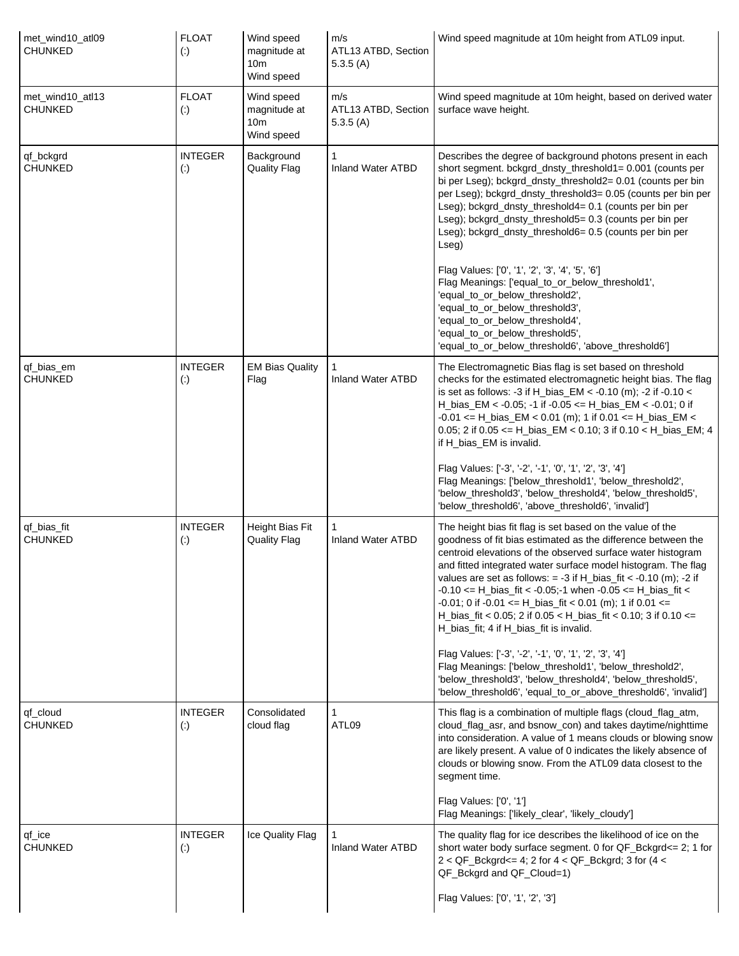| met wind10 atl09<br><b>CHUNKED</b> | <b>FLOAT</b><br>$\left( \cdot \right)$   | Wind speed<br>magnitude at<br>10 <sub>m</sub><br>Wind speed | m/s<br>ATL13 ATBD, Section<br>5.3.5(A) | Wind speed magnitude at 10m height from ATL09 input.                                                                                                                                                                                                                                                                                                                                                                                                                                                                                                                                                                            |
|------------------------------------|------------------------------------------|-------------------------------------------------------------|----------------------------------------|---------------------------------------------------------------------------------------------------------------------------------------------------------------------------------------------------------------------------------------------------------------------------------------------------------------------------------------------------------------------------------------------------------------------------------------------------------------------------------------------------------------------------------------------------------------------------------------------------------------------------------|
| met_wind10_atl13<br><b>CHUNKED</b> | <b>FLOAT</b><br>$\left( \cdot \right)$   | Wind speed<br>magnitude at<br>10 <sub>m</sub><br>Wind speed | m/s<br>ATL13 ATBD, Section<br>5.3.5(A) | Wind speed magnitude at 10m height, based on derived water<br>surface wave height.                                                                                                                                                                                                                                                                                                                                                                                                                                                                                                                                              |
| qf_bckgrd<br><b>CHUNKED</b>        | <b>INTEGER</b><br>$\left( \cdot \right)$ | Background<br><b>Quality Flag</b>                           | <b>Inland Water ATBD</b>               | Describes the degree of background photons present in each<br>short segment. bckgrd_dnsty_threshold1= 0.001 (counts per<br>bi per Lseg); bckgrd_dnsty_threshold2= 0.01 (counts per bin<br>per Lseg); bckgrd_dnsty_threshold3= 0.05 (counts per bin per<br>Lseg); bckgrd_dnsty_threshold4= 0.1 (counts per bin per<br>Lseg); bckgrd_dnsty_threshold5= 0.3 (counts per bin per<br>Lseg); bckgrd_dnsty_threshold6= 0.5 (counts per bin per<br>Lseg)                                                                                                                                                                                |
|                                    |                                          |                                                             |                                        | Flag Values: ['0', '1', '2', '3', '4', '5', '6']<br>Flag Meanings: ['equal_to_or_below_threshold1',<br>'equal_to_or_below_threshold2',<br>'equal_to_or_below_threshold3',<br>'equal_to_or_below_threshold4',<br>'equal_to_or_below_threshold5',<br>'equal_to_or_below_threshold6', 'above_threshold6']                                                                                                                                                                                                                                                                                                                          |
| qf bias em<br><b>CHUNKED</b>       | <b>INTEGER</b><br>$\left( \cdot \right)$ | <b>EM Bias Quality</b><br>Flag                              | <b>Inland Water ATBD</b>               | The Electromagnetic Bias flag is set based on threshold<br>checks for the estimated electromagnetic height bias. The flag<br>is set as follows: -3 if H_bias_EM < -0.10 (m); -2 if -0.10 <<br>H_bias_EM < -0.05; -1 if -0.05 <= H_bias_EM < -0.01; 0 if<br>$-0.01 \leq H_{\text{bias}}$ EM < 0.01 (m); 1 if 0.01 <= H_bias_EM <<br>0.05; 2 if 0.05 <= H_bias_EM < 0.10; 3 if 0.10 < H_bias_EM; 4<br>if H_bias_EM is invalid.                                                                                                                                                                                                    |
|                                    |                                          |                                                             |                                        | Flag Values: ['-3', '-2', '-1', '0', '1', '2', '3', '4']<br>Flag Meanings: ['below_threshold1', 'below_threshold2',<br>'below_threshold3', 'below_threshold4', 'below_threshold5',<br>'below_threshold6', 'above_threshold6', 'invalid']                                                                                                                                                                                                                                                                                                                                                                                        |
| qf_bias_fit<br><b>CHUNKED</b>      | <b>INTEGER</b><br>$\left( \cdot \right)$ | Height Bias Fit<br><b>Quality Flag</b>                      | <b>Inland Water ATBD</b>               | The height bias fit flag is set based on the value of the<br>goodness of fit bias estimated as the difference between the<br>centroid elevations of the observed surface water histogram<br>and fitted integrated water surface model histogram. The flag<br>values are set as follows: $= -3$ if H_bias_fit < $-0.10$ (m); $-2$ if<br>$-0.10 \leq H_{\text{bias}}$ fit $< -0.05$ ; -1 when $-0.05 \leq H_{\text{bias}}$ fit $<$<br>$-0.01$ ; 0 if $-0.01 \leq H_{\text{bias}}$ fit $< 0.01$ (m); 1 if 0.01 $\leq$<br>H_bias_fit < 0.05; 2 if 0.05 < H_bias_fit < 0.10; 3 if 0.10 <=<br>H_bias_fit; 4 if H_bias_fit is invalid. |
|                                    |                                          |                                                             |                                        | Flag Values: ['-3', '-2', '-1', '0', '1', '2', '3', '4']<br>Flag Meanings: ['below_threshold1', 'below_threshold2',<br>'below_threshold3', 'below_threshold4', 'below_threshold5',<br>'below_threshold6', 'equal_to_or_above_threshold6', 'invalid']                                                                                                                                                                                                                                                                                                                                                                            |
| qf cloud<br><b>CHUNKED</b>         | <b>INTEGER</b><br>$\left( \cdot \right)$ | Consolidated<br>cloud flag                                  | 1<br>ATL09                             | This flag is a combination of multiple flags (cloud_flag_atm,<br>cloud_flag_asr, and bsnow_con) and takes daytime/nighttime<br>into consideration. A value of 1 means clouds or blowing snow<br>are likely present. A value of 0 indicates the likely absence of<br>clouds or blowing snow. From the ATL09 data closest to the<br>segment time.                                                                                                                                                                                                                                                                                 |
|                                    |                                          |                                                             |                                        | Flag Values: ['0', '1']<br>Flag Meanings: ['likely_clear', 'likely_cloudy']                                                                                                                                                                                                                                                                                                                                                                                                                                                                                                                                                     |
| qf_ice<br><b>CHUNKED</b>           | <b>INTEGER</b><br>$\left( \cdot \right)$ | Ice Quality Flag                                            | Inland Water ATBD                      | The quality flag for ice describes the likelihood of ice on the<br>short water body surface segment. 0 for QF_Bckgrd <= 2; 1 for<br>$2 < QF_Bckgrd \le 4$ ; 2 for $4 < QF_Bckgrd$ ; 3 for $(4 <$<br>QF_Bckgrd and QF_Cloud=1)                                                                                                                                                                                                                                                                                                                                                                                                   |
|                                    |                                          |                                                             |                                        | Flag Values: ['0', '1', '2', '3']                                                                                                                                                                                                                                                                                                                                                                                                                                                                                                                                                                                               |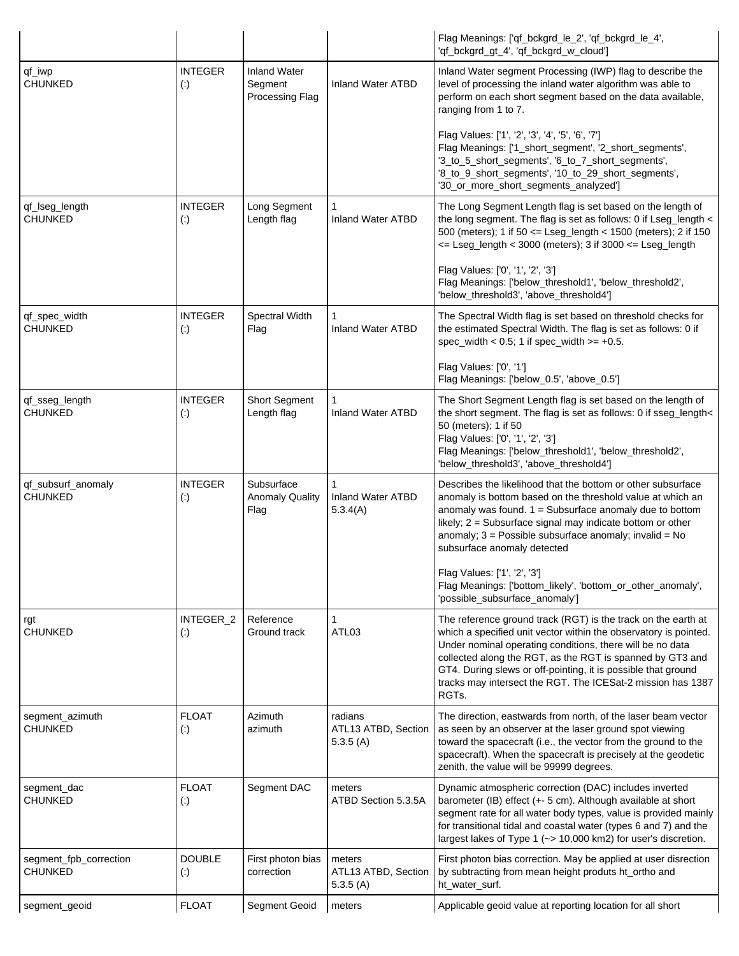|                                          |                                          |                                                   |                                            | Flag Meanings: ['qf_bckgrd_le_2', 'qf_bckgrd_le_4',<br>'qf_bckgrd_gt_4', 'qf_bckgrd_w_cloud']                                                                                                                                                                                                                                                                                                        |
|------------------------------------------|------------------------------------------|---------------------------------------------------|--------------------------------------------|------------------------------------------------------------------------------------------------------------------------------------------------------------------------------------------------------------------------------------------------------------------------------------------------------------------------------------------------------------------------------------------------------|
| qf_iwp<br><b>CHUNKED</b>                 | <b>INTEGER</b><br>$\left( \cdot \right)$ | <b>Inland Water</b><br>Segment<br>Processing Flag | <b>Inland Water ATBD</b>                   | Inland Water segment Processing (IWP) flag to describe the<br>level of processing the inland water algorithm was able to<br>perform on each short segment based on the data available,<br>ranging from 1 to 7.                                                                                                                                                                                       |
|                                          |                                          |                                                   |                                            | Flag Values: ['1', '2', '3', '4', '5', '6', '7']<br>Flag Meanings: ['1_short_segment', '2_short_segments',<br>'3_to_5_short_segments', '6_to_7_short_segments',<br>'8_to_9_short_segments', '10_to_29_short_segments',<br>'30_or_more_short_segments_analyzed']                                                                                                                                      |
| qf_lseg_length<br><b>CHUNKED</b>         | <b>INTEGER</b><br>$(\cdot)$              | Long Segment<br>Length flag                       | 1<br><b>Inland Water ATBD</b>              | The Long Segment Length flag is set based on the length of<br>the long segment. The flag is set as follows: 0 if Lseg_length <<br>500 (meters); 1 if 50 <= Lseg_length < 1500 (meters); 2 if 150<br><= Lseg_length < 3000 (meters); 3 if 3000 <= Lseg_length                                                                                                                                         |
|                                          |                                          |                                                   |                                            | Flag Values: ['0', '1', '2', '3']<br>Flag Meanings: ['below_threshold1', 'below_threshold2',<br>'below_threshold3', 'above_threshold4']                                                                                                                                                                                                                                                              |
| qf_spec_width<br><b>CHUNKED</b>          | <b>INTEGER</b><br>$\left( \cdot \right)$ | Spectral Width<br>Flag                            | 1<br><b>Inland Water ATBD</b>              | The Spectral Width flag is set based on threshold checks for<br>the estimated Spectral Width. The flag is set as follows: 0 if<br>spec_width < $0.5$ ; 1 if spec_width >= $+0.5$ .                                                                                                                                                                                                                   |
|                                          |                                          |                                                   |                                            | Flag Values: ['0', '1']<br>Flag Meanings: ['below_0.5', 'above_0.5']                                                                                                                                                                                                                                                                                                                                 |
| qf_sseg_length<br><b>CHUNKED</b>         | <b>INTEGER</b><br>$\left( \cdot \right)$ | <b>Short Segment</b><br>Length flag               | <b>Inland Water ATBD</b>                   | The Short Segment Length flag is set based on the length of<br>the short segment. The flag is set as follows: 0 if sseg_length<<br>50 (meters); 1 if 50<br>Flag Values: ['0', '1', '2', '3']<br>Flag Meanings: ['below_threshold1', 'below_threshold2',<br>'below_threshold3', 'above_threshold4']                                                                                                   |
| qf_subsurf_anomaly<br><b>CHUNKED</b>     | <b>INTEGER</b><br>$\left( \cdot \right)$ | Subsurface<br><b>Anomaly Quality</b><br>Flag      | 1<br>Inland Water ATBD<br>5.3.4(A)         | Describes the likelihood that the bottom or other subsurface<br>anomaly is bottom based on the threshold value at which an<br>anomaly was found. $1 =$ Subsurface anomaly due to bottom<br>likely; 2 = Subsurface signal may indicate bottom or other<br>anomaly; $3 =$ Possible subsurface anomaly; invalid = No<br>subsurface anomaly detected                                                     |
|                                          |                                          |                                                   |                                            | Flag Values: ['1', '2', '3']<br>Flag Meanings: ['bottom_likely', 'bottom_or_other_anomaly',<br>'possible_subsurface_anomaly']                                                                                                                                                                                                                                                                        |
| rgt<br><b>CHUNKED</b>                    | INTEGER_2<br>$(\cdot)$                   | Reference<br>Ground track                         | 1<br>ATL03                                 | The reference ground track (RGT) is the track on the earth at<br>which a specified unit vector within the observatory is pointed.<br>Under nominal operating conditions, there will be no data<br>collected along the RGT, as the RGT is spanned by GT3 and<br>GT4. During slews or off-pointing, it is possible that ground<br>tracks may intersect the RGT. The ICESat-2 mission has 1387<br>RGTs. |
| segment_azimuth<br><b>CHUNKED</b>        | <b>FLOAT</b><br>$\left( \cdot \right)$   | Azimuth<br>azimuth                                | radians<br>ATL13 ATBD, Section<br>5.3.5(A) | The direction, eastwards from north, of the laser beam vector<br>as seen by an observer at the laser ground spot viewing<br>toward the spacecraft (i.e., the vector from the ground to the<br>spacecraft). When the spacecraft is precisely at the geodetic<br>zenith, the value will be 99999 degrees.                                                                                              |
| segment_dac<br><b>CHUNKED</b>            | <b>FLOAT</b><br>$(\cdot)$                | Segment DAC                                       | meters<br>ATBD Section 5.3.5A              | Dynamic atmospheric correction (DAC) includes inverted<br>barometer (IB) effect (+- 5 cm). Although available at short<br>segment rate for all water body types, value is provided mainly<br>for transitional tidal and coastal water (types 6 and 7) and the<br>largest lakes of Type 1 (~> 10,000 km2) for user's discretion.                                                                      |
| segment_fpb_correction<br><b>CHUNKED</b> | <b>DOUBLE</b><br>$\left( \cdot \right)$  | First photon bias<br>correction                   | meters<br>ATL13 ATBD, Section              | First photon bias correction. May be applied at user disrection<br>by subtracting from mean height produts ht_ortho and                                                                                                                                                                                                                                                                              |
|                                          |                                          |                                                   | 5.3.5(A)                                   | ht_water_surf.                                                                                                                                                                                                                                                                                                                                                                                       |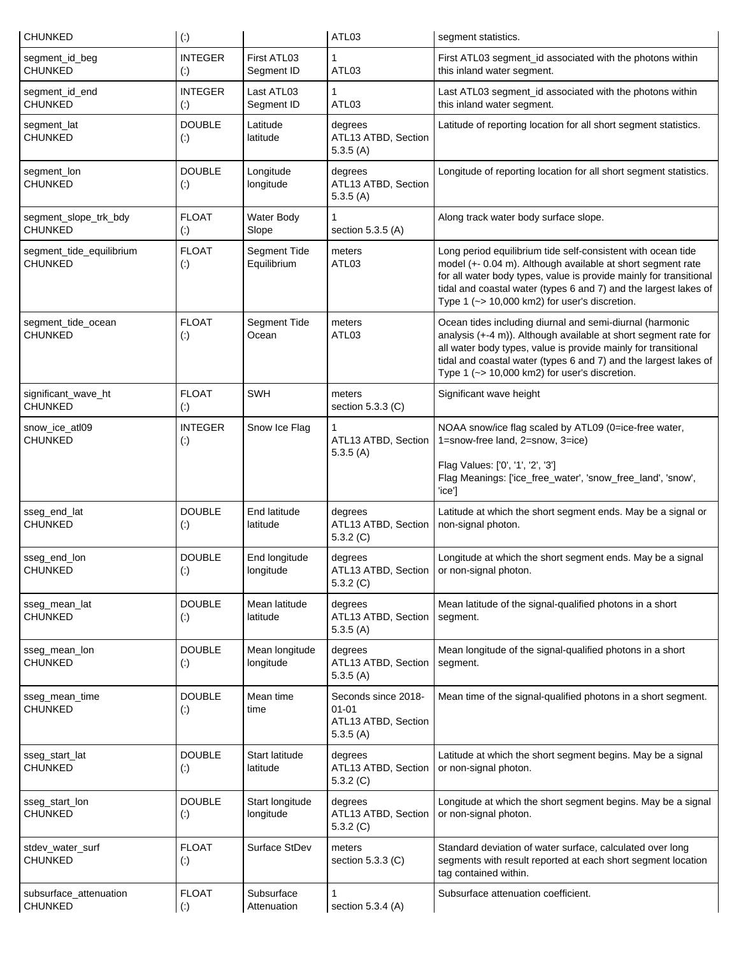| <b>CHUNKED</b>                           | $\left( \cdot \right)$                   |                              | ATL03                                                               | segment statistics.                                                                                                                                                                                                                                                                                                    |
|------------------------------------------|------------------------------------------|------------------------------|---------------------------------------------------------------------|------------------------------------------------------------------------------------------------------------------------------------------------------------------------------------------------------------------------------------------------------------------------------------------------------------------------|
| segment_id_beg<br><b>CHUNKED</b>         | <b>INTEGER</b><br>$\left( \cdot \right)$ | First ATL03<br>Segment ID    | ATL03                                                               | First ATL03 segment_id associated with the photons within<br>this inland water segment.                                                                                                                                                                                                                                |
| segment_id_end<br>CHUNKED                | <b>INTEGER</b><br>$\left( \cdot \right)$ | Last ATL03<br>Segment ID     | 1<br>ATL03                                                          | Last ATL03 segment_id associated with the photons within<br>this inland water segment.                                                                                                                                                                                                                                 |
| segment_lat<br><b>CHUNKED</b>            | <b>DOUBLE</b><br>$\left( \cdot \right)$  | Latitude<br>latitude         | degrees<br>ATL13 ATBD, Section<br>5.3.5(A)                          | Latitude of reporting location for all short segment statistics.                                                                                                                                                                                                                                                       |
| segment_lon<br><b>CHUNKED</b>            | <b>DOUBLE</b><br>$\left( \cdot \right)$  | Longitude<br>longitude       | degrees<br>ATL13 ATBD, Section<br>5.3.5(A)                          | Longitude of reporting location for all short segment statistics.                                                                                                                                                                                                                                                      |
| segment_slope_trk_bdy<br>CHUNKED         | <b>FLOAT</b><br>$\left( \cdot \right)$   | Water Body<br>Slope          | section 5.3.5 (A)                                                   | Along track water body surface slope.                                                                                                                                                                                                                                                                                  |
| segment_tide_equilibrium<br>CHUNKED      | <b>FLOAT</b><br>$\left( \cdot \right)$   | Segment Tide<br>Equilibrium  | meters<br>ATL03                                                     | Long period equilibrium tide self-consistent with ocean tide<br>model (+- 0.04 m). Although available at short segment rate<br>for all water body types, value is provide mainly for transitional<br>tidal and coastal water (types 6 and 7) and the largest lakes of<br>Type 1 (~> 10,000 km2) for user's discretion. |
| segment_tide_ocean<br>CHUNKED            | <b>FLOAT</b><br>$\left( \cdot \right)$   | Segment Tide<br>Ocean        | meters<br>ATL <sub>03</sub>                                         | Ocean tides including diurnal and semi-diurnal (harmonic<br>analysis (+-4 m)). Although available at short segment rate for<br>all water body types, value is provide mainly for transitional<br>tidal and coastal water (types 6 and 7) and the largest lakes of<br>Type 1 (~> 10,000 km2) for user's discretion.     |
| significant_wave_ht<br><b>CHUNKED</b>    | <b>FLOAT</b><br>$\left( \cdot \right)$   | <b>SWH</b>                   | meters<br>section 5.3.3 (C)                                         | Significant wave height                                                                                                                                                                                                                                                                                                |
| snow_ice_atl09<br>CHUNKED                | <b>INTEGER</b><br>$\left( \cdot \right)$ | Snow Ice Flag                | 1<br>ATL13 ATBD, Section<br>5.3.5(A)                                | NOAA snow/ice flag scaled by ATL09 (0=ice-free water,<br>1=snow-free land, 2=snow, 3=ice)<br>Flag Values: ['0', '1', '2', '3']<br>Flag Meanings: ['ice_free_water', 'snow_free_land', 'snow',<br>'ice']                                                                                                                |
| sseg_end_lat<br>CHUNKED                  | <b>DOUBLE</b><br>$\left( \cdot \right)$  | End latitude<br>latitude     | degrees<br>ATL13 ATBD, Section<br>5.3.2(C)                          | Latitude at which the short segment ends. May be a signal or<br>non-signal photon.                                                                                                                                                                                                                                     |
| sseg_end_lon<br><b>CHUNKED</b>           | <b>DOUBLE</b><br>$\left( \cdot \right)$  | End longitude<br>longitude   | degrees<br>ATL13 ATBD, Section   or non-signal photon.<br>5.3.2(C)  | Longitude at which the short segment ends. May be a signal                                                                                                                                                                                                                                                             |
| sseg_mean_lat<br>CHUNKED                 | <b>DOUBLE</b><br>$\left( \cdot \right)$  | Mean latitude<br>latitude    | degrees<br>ATL13 ATBD, Section<br>5.3.5(A)                          | Mean latitude of the signal-qualified photons in a short<br>segment.                                                                                                                                                                                                                                                   |
| sseg_mean_lon<br><b>CHUNKED</b>          | <b>DOUBLE</b><br>$\left( \cdot \right)$  | Mean longitude<br>longitude  | degrees<br>ATL13 ATBD, Section<br>5.3.5(A)                          | Mean longitude of the signal-qualified photons in a short<br>segment.                                                                                                                                                                                                                                                  |
| sseg_mean_time<br>CHUNKED                | <b>DOUBLE</b><br>$\left( \cdot \right)$  | Mean time<br>time            | Seconds since 2018-<br>$01 - 01$<br>ATL13 ATBD, Section<br>5.3.5(A) | Mean time of the signal-qualified photons in a short segment.                                                                                                                                                                                                                                                          |
| sseg_start_lat<br><b>CHUNKED</b>         | <b>DOUBLE</b><br>$\left( \cdot \right)$  | Start latitude<br>latitude   | degrees<br>ATL13 ATBD, Section<br>5.3.2(C)                          | Latitude at which the short segment begins. May be a signal<br>or non-signal photon.                                                                                                                                                                                                                                   |
| sseg_start_lon<br><b>CHUNKED</b>         | <b>DOUBLE</b><br>$\left( \cdot \right)$  | Start longitude<br>longitude | degrees<br>ATL13 ATBD, Section<br>5.3.2(C)                          | Longitude at which the short segment begins. May be a signal<br>or non-signal photon.                                                                                                                                                                                                                                  |
| stdev_water_surf<br>CHUNKED              | <b>FLOAT</b><br>$\left( \cdot \right)$   | Surface StDev                | meters<br>section 5.3.3 (C)                                         | Standard deviation of water surface, calculated over long<br>segments with result reported at each short segment location<br>tag contained within.                                                                                                                                                                     |
| subsurface_attenuation<br><b>CHUNKED</b> | <b>FLOAT</b><br>$\left( \cdot \right)$   | Subsurface<br>Attenuation    | 1<br>section 5.3.4 (A)                                              | Subsurface attenuation coefficient.                                                                                                                                                                                                                                                                                    |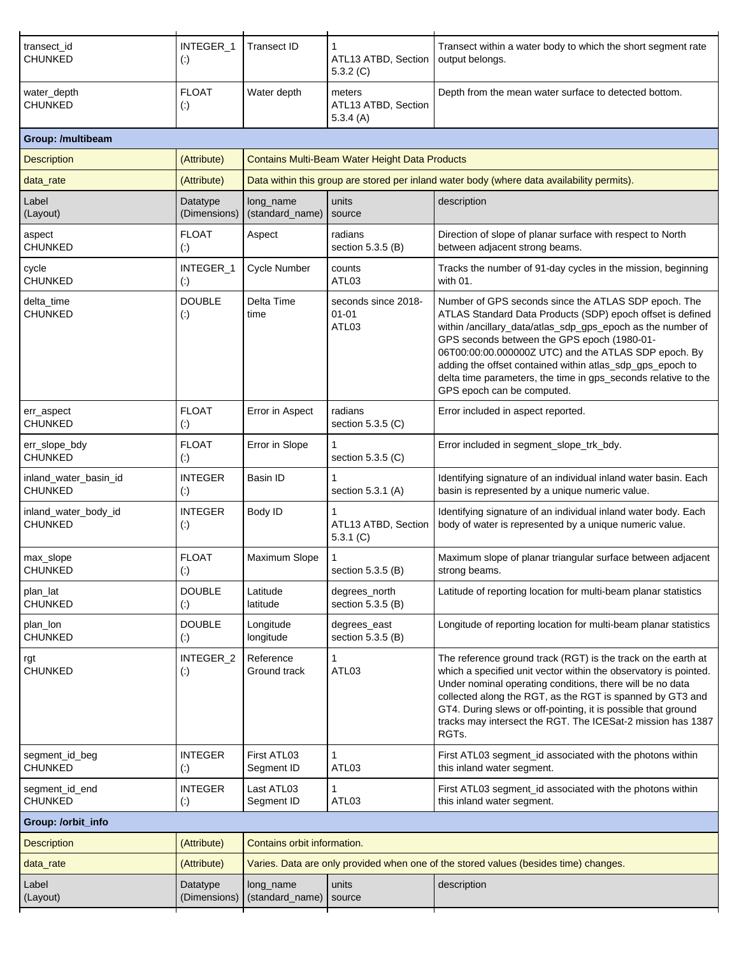| transect_id<br><b>CHUNKED</b>           | INTEGER_1<br>$\left( \cdot \right)$      | <b>Transect ID</b>           | ATL13 ATBD, Section<br>5.3.2(C)                | Transect within a water body to which the short segment rate<br>output belongs.                                                                                                                                                                                                                                                                                                                                                                       |
|-----------------------------------------|------------------------------------------|------------------------------|------------------------------------------------|-------------------------------------------------------------------------------------------------------------------------------------------------------------------------------------------------------------------------------------------------------------------------------------------------------------------------------------------------------------------------------------------------------------------------------------------------------|
| water_depth<br><b>CHUNKED</b>           | <b>FLOAT</b><br>$\left( \cdot \right)$   | Water depth                  | meters<br>ATL13 ATBD, Section<br>5.3.4(A)      | Depth from the mean water surface to detected bottom.                                                                                                                                                                                                                                                                                                                                                                                                 |
| Group: /multibeam                       |                                          |                              |                                                |                                                                                                                                                                                                                                                                                                                                                                                                                                                       |
| <b>Description</b>                      | (Attribute)                              |                              | Contains Multi-Beam Water Height Data Products |                                                                                                                                                                                                                                                                                                                                                                                                                                                       |
| data_rate                               | (Attribute)                              |                              |                                                | Data within this group are stored per inland water body (where data availability permits).                                                                                                                                                                                                                                                                                                                                                            |
| Label<br>(Layout)                       | Datatype<br>(Dimensions)                 | long_name<br>(standard_name) | units<br>source                                | description                                                                                                                                                                                                                                                                                                                                                                                                                                           |
| aspect<br><b>CHUNKED</b>                | <b>FLOAT</b><br>$\left( \cdot \right)$   | Aspect                       | radians<br>section 5.3.5 (B)                   | Direction of slope of planar surface with respect to North<br>between adjacent strong beams.                                                                                                                                                                                                                                                                                                                                                          |
| cycle<br><b>CHUNKED</b>                 | INTEGER_1<br>$\left( \cdot \right)$      | Cycle Number                 | counts<br>ATL03                                | Tracks the number of 91-day cycles in the mission, beginning<br>with 01.                                                                                                                                                                                                                                                                                                                                                                              |
| delta_time<br><b>CHUNKED</b>            | <b>DOUBLE</b><br>$\left( \cdot \right)$  | Delta Time<br>time           | seconds since 2018-<br>$01 - 01$<br>ATL03      | Number of GPS seconds since the ATLAS SDP epoch. The<br>ATLAS Standard Data Products (SDP) epoch offset is defined<br>within /ancillary_data/atlas_sdp_gps_epoch as the number of<br>GPS seconds between the GPS epoch (1980-01-<br>06T00:00:00.000000Z UTC) and the ATLAS SDP epoch. By<br>adding the offset contained within atlas_sdp_gps_epoch to<br>delta time parameters, the time in gps_seconds relative to the<br>GPS epoch can be computed. |
| err_aspect<br><b>CHUNKED</b>            | <b>FLOAT</b><br>$\left( \cdot \right)$   | Error in Aspect              | radians<br>section $5.3.5$ (C)                 | Error included in aspect reported.                                                                                                                                                                                                                                                                                                                                                                                                                    |
| err_slope_bdy<br><b>CHUNKED</b>         | <b>FLOAT</b><br>$\left( \cdot \right)$   | Error in Slope               | section 5.3.5 (C)                              | Error included in segment_slope_trk_bdy.                                                                                                                                                                                                                                                                                                                                                                                                              |
| inland_water_basin_id<br><b>CHUNKED</b> | <b>INTEGER</b><br>$\left( \cdot \right)$ | Basin ID                     | section 5.3.1 (A)                              | Identifying signature of an individual inland water basin. Each<br>basin is represented by a unique numeric value.                                                                                                                                                                                                                                                                                                                                    |
| inland_water_body_id<br><b>CHUNKED</b>  | <b>INTEGER</b><br>$\left( \cdot \right)$ | Body ID                      | ATL13 ATBD, Section<br>5.3.1(C)                | Identifying signature of an individual inland water body. Each<br>body of water is represented by a unique numeric value.                                                                                                                                                                                                                                                                                                                             |
| max_slope<br><b>CHUNKED</b>             | <b>FLOAT</b><br>$\left( \cdot \right)$   | Maximum Slope                | section 5.3.5 (B)                              | Maximum slope of planar triangular surface between adjacent<br>strong beams.                                                                                                                                                                                                                                                                                                                                                                          |
| plan_lat<br><b>CHUNKED</b>              | <b>DOUBLE</b><br>$\left( \cdot \right)$  | Latitude<br>latitude         | degrees_north<br>section 5.3.5 (B)             | Latitude of reporting location for multi-beam planar statistics                                                                                                                                                                                                                                                                                                                                                                                       |
| plan_lon<br><b>CHUNKED</b>              | <b>DOUBLE</b><br>$\left( \cdot \right)$  | Longitude<br>longitude       | degrees_east<br>section 5.3.5 (B)              | Longitude of reporting location for multi-beam planar statistics                                                                                                                                                                                                                                                                                                                                                                                      |
| rgt<br><b>CHUNKED</b>                   | INTEGER_2<br>$\left( \cdot \right)$      | Reference<br>Ground track    | 1<br>ATL03                                     | The reference ground track (RGT) is the track on the earth at<br>which a specified unit vector within the observatory is pointed.<br>Under nominal operating conditions, there will be no data<br>collected along the RGT, as the RGT is spanned by GT3 and<br>GT4. During slews or off-pointing, it is possible that ground<br>tracks may intersect the RGT. The ICESat-2 mission has 1387<br>RGTs.                                                  |
| segment_id_beg<br><b>CHUNKED</b>        | <b>INTEGER</b><br>$\left( \cdot \right)$ | First ATL03<br>Segment ID    | 1<br>ATL03                                     | First ATL03 segment_id associated with the photons within<br>this inland water segment.                                                                                                                                                                                                                                                                                                                                                               |
| segment_id_end<br>CHUNKED               | <b>INTEGER</b><br>$\left( \cdot \right)$ | Last ATL03<br>Segment ID     | 1<br>ATL03                                     | First ATL03 segment_id associated with the photons within<br>this inland water segment.                                                                                                                                                                                                                                                                                                                                                               |
| Group: /orbit_info                      |                                          |                              |                                                |                                                                                                                                                                                                                                                                                                                                                                                                                                                       |
| <b>Description</b>                      | (Attribute)                              | Contains orbit information.  |                                                |                                                                                                                                                                                                                                                                                                                                                                                                                                                       |
| data_rate                               | (Attribute)                              |                              |                                                | Varies. Data are only provided when one of the stored values (besides time) changes.                                                                                                                                                                                                                                                                                                                                                                  |
| Label<br>(Layout)                       | Datatype<br>(Dimensions)                 | long_name<br>(standard_name) | units<br>source                                | description                                                                                                                                                                                                                                                                                                                                                                                                                                           |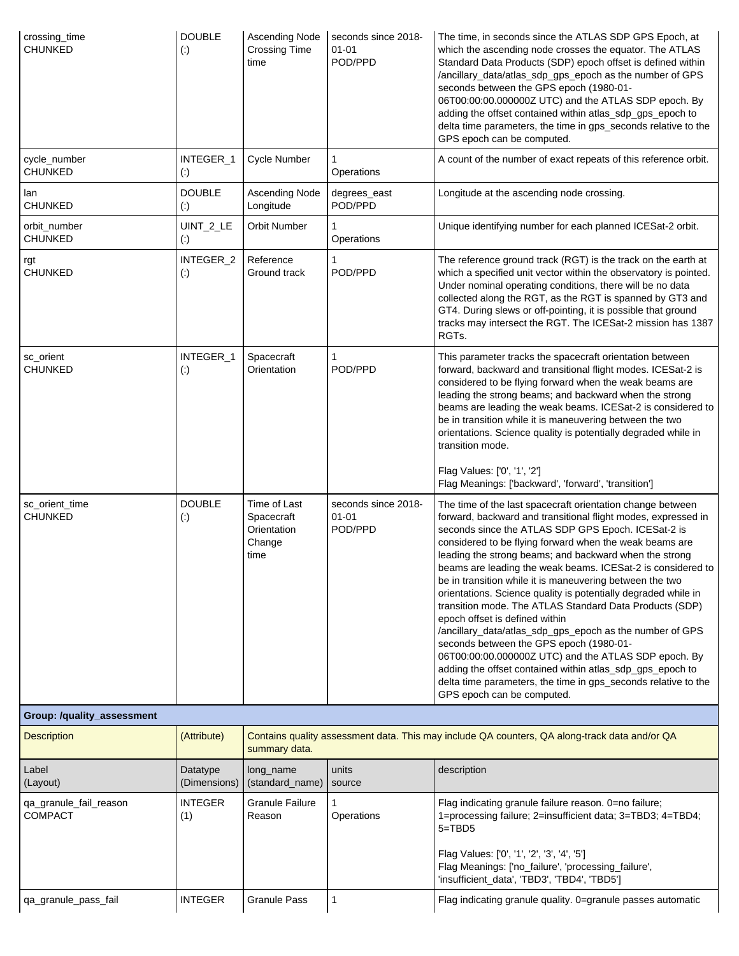| crossing_time<br><b>CHUNKED</b>          | <b>DOUBLE</b><br>$\left( \cdot \right)$ | <b>Ascending Node</b><br><b>Crossing Time</b><br>time       | seconds since 2018-<br>$01 - 01$<br>POD/PPD | The time, in seconds since the ATLAS SDP GPS Epoch, at<br>which the ascending node crosses the equator. The ATLAS<br>Standard Data Products (SDP) epoch offset is defined within<br>/ancillary_data/atlas_sdp_gps_epoch as the number of GPS<br>seconds between the GPS epoch (1980-01-<br>06T00:00:00.000000Z UTC) and the ATLAS SDP epoch. By<br>adding the offset contained within atlas_sdp_gps_epoch to<br>delta time parameters, the time in gps_seconds relative to the<br>GPS epoch can be computed.                                                                                                                                                                                                                                                                                                                                                                                                                 |
|------------------------------------------|-----------------------------------------|-------------------------------------------------------------|---------------------------------------------|------------------------------------------------------------------------------------------------------------------------------------------------------------------------------------------------------------------------------------------------------------------------------------------------------------------------------------------------------------------------------------------------------------------------------------------------------------------------------------------------------------------------------------------------------------------------------------------------------------------------------------------------------------------------------------------------------------------------------------------------------------------------------------------------------------------------------------------------------------------------------------------------------------------------------|
| cycle_number<br><b>CHUNKED</b>           | INTEGER_1<br>$\left( \cdot \right)$     | <b>Cycle Number</b>                                         | Operations                                  | A count of the number of exact repeats of this reference orbit.                                                                                                                                                                                                                                                                                                                                                                                                                                                                                                                                                                                                                                                                                                                                                                                                                                                              |
| lan<br><b>CHUNKED</b>                    | <b>DOUBLE</b><br>$\left( \cdot \right)$ | <b>Ascending Node</b><br>Longitude                          | degrees_east<br>POD/PPD                     | Longitude at the ascending node crossing.                                                                                                                                                                                                                                                                                                                                                                                                                                                                                                                                                                                                                                                                                                                                                                                                                                                                                    |
| orbit_number<br><b>CHUNKED</b>           | UINT_2_LE<br>$\left( \cdot \right)$     | Orbit Number                                                | Operations                                  | Unique identifying number for each planned ICESat-2 orbit.                                                                                                                                                                                                                                                                                                                                                                                                                                                                                                                                                                                                                                                                                                                                                                                                                                                                   |
| rgt<br><b>CHUNKED</b>                    | INTEGER_2<br>$\left( \cdot \right)$     | Reference<br>Ground track                                   | POD/PPD                                     | The reference ground track (RGT) is the track on the earth at<br>which a specified unit vector within the observatory is pointed.<br>Under nominal operating conditions, there will be no data<br>collected along the RGT, as the RGT is spanned by GT3 and<br>GT4. During slews or off-pointing, it is possible that ground<br>tracks may intersect the RGT. The ICESat-2 mission has 1387<br>RGTs.                                                                                                                                                                                                                                                                                                                                                                                                                                                                                                                         |
| sc_orient<br><b>CHUNKED</b>              | INTEGER_1<br>$\left( \cdot \right)$     | Spacecraft<br>Orientation                                   | $\mathbf{1}$<br>POD/PPD                     | This parameter tracks the spacecraft orientation between<br>forward, backward and transitional flight modes. ICESat-2 is<br>considered to be flying forward when the weak beams are<br>leading the strong beams; and backward when the strong<br>beams are leading the weak beams. ICESat-2 is considered to<br>be in transition while it is maneuvering between the two<br>orientations. Science quality is potentially degraded while in<br>transition mode.                                                                                                                                                                                                                                                                                                                                                                                                                                                               |
|                                          |                                         |                                                             |                                             | Flag Values: ['0', '1', '2']<br>Flag Meanings: ['backward', 'forward', 'transition']                                                                                                                                                                                                                                                                                                                                                                                                                                                                                                                                                                                                                                                                                                                                                                                                                                         |
| sc_orient_time<br><b>CHUNKED</b>         | <b>DOUBLE</b><br>$\left( \cdot \right)$ | Time of Last<br>Spacecraft<br>Orientation<br>Change<br>time | seconds since 2018-<br>$01 - 01$<br>POD/PPD | The time of the last spacecraft orientation change between<br>forward, backward and transitional flight modes, expressed in<br>seconds since the ATLAS SDP GPS Epoch. ICESat-2 is<br>considered to be flying forward when the weak beams are<br>leading the strong beams; and backward when the strong<br>beams are leading the weak beams. ICESat-2 is considered to<br>be in transition while it is maneuvering between the two<br>orientations. Science quality is potentially degraded while in<br>transition mode. The ATLAS Standard Data Products (SDP)<br>epoch offset is defined within<br>/ancillary_data/atlas_sdp_gps_epoch as the number of GPS<br>seconds between the GPS epoch (1980-01-<br>06T00:00:00.0000002 UTC) and the ATLAS SDP epoch. By<br>adding the offset contained within atlas_sdp_gps_epoch to<br>delta time parameters, the time in gps_seconds relative to the<br>GPS epoch can be computed. |
| Group: /quality_assessment               |                                         |                                                             |                                             |                                                                                                                                                                                                                                                                                                                                                                                                                                                                                                                                                                                                                                                                                                                                                                                                                                                                                                                              |
| <b>Description</b>                       | (Attribute)                             | summary data.                                               |                                             | Contains quality assessment data. This may include QA counters, QA along-track data and/or QA                                                                                                                                                                                                                                                                                                                                                                                                                                                                                                                                                                                                                                                                                                                                                                                                                                |
| Label<br>(Layout)                        | Datatype<br>(Dimensions)                | long_name<br>(standard_name)                                | units<br>source                             | description                                                                                                                                                                                                                                                                                                                                                                                                                                                                                                                                                                                                                                                                                                                                                                                                                                                                                                                  |
| qa_granule_fail_reason<br><b>COMPACT</b> | <b>INTEGER</b><br>(1)                   | <b>Granule Failure</b><br>Reason                            | Operations                                  | Flag indicating granule failure reason. 0=no failure;<br>1=processing failure; 2=insufficient data; 3=TBD3; 4=TBD4;<br>5=TBD5<br>Flag Values: ['0', '1', '2', '3', '4', '5']                                                                                                                                                                                                                                                                                                                                                                                                                                                                                                                                                                                                                                                                                                                                                 |
|                                          |                                         |                                                             |                                             | Flag Meanings: ['no_failure', 'processing_failure',<br>'insufficient_data', 'TBD3', 'TBD4', 'TBD5']                                                                                                                                                                                                                                                                                                                                                                                                                                                                                                                                                                                                                                                                                                                                                                                                                          |
| qa_granule_pass_fail                     | <b>INTEGER</b>                          | <b>Granule Pass</b>                                         | 1                                           | Flag indicating granule quality. 0=granule passes automatic                                                                                                                                                                                                                                                                                                                                                                                                                                                                                                                                                                                                                                                                                                                                                                                                                                                                  |